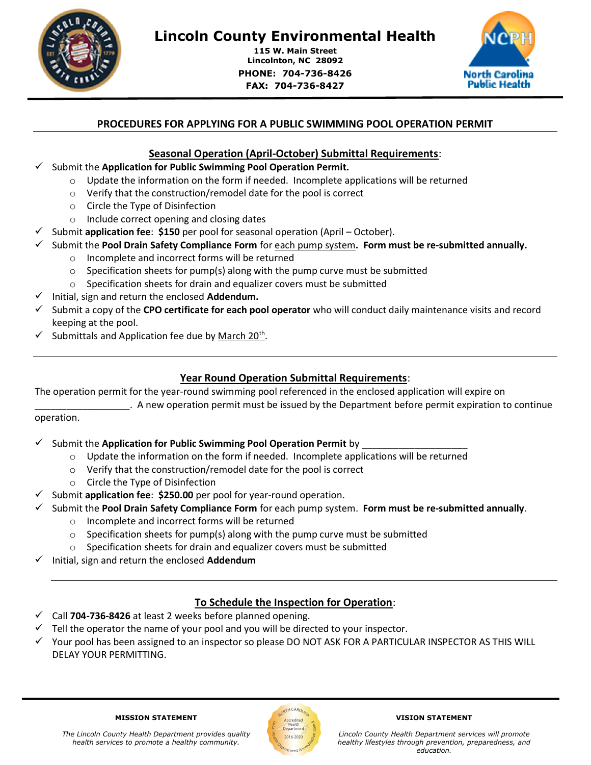

# Lincoln County Environmental Health

115 W. Main Street Lincolnton, NC 28092 PHONE: 704-736-8426 FAX: 704-736-8427



# PROCEDURES FOR APPLYING FOR A PUBLIC SWIMMING POOL OPERATION PERMIT

# Seasonal Operation (April-October) Submittal Requirements:

### Submit the Application for Public Swimming Pool Operation Permit.

 $\circ$  Update the information on the form if needed. Incomplete applications will be returned

٦

- o Verify that the construction/remodel date for the pool is correct
- o Circle the Type of Disinfection
- o Include correct opening and closing dates
- Submit application fee: \$150 per pool for seasonal operation (April October).
- Submit the Pool Drain Safety Compliance Form for each pump system. Form must be re-submitted annually.
	- o Incomplete and incorrect forms will be returned
	- o Specification sheets for pump(s) along with the pump curve must be submitted
	- o Specification sheets for drain and equalizer covers must be submitted
- Initial, sign and return the enclosed Addendum.
- $\checkmark$  Submit a copy of the CPO certificate for each pool operator who will conduct daily maintenance visits and record keeping at the pool.
- $\checkmark$  Submittals and Application fee due by March 20<sup>th</sup>.

# Year Round Operation Submittal Requirements:

The operation permit for the year-round swimming pool referenced in the enclosed application will expire on

\_\_\_\_\_\_\_\_\_\_\_\_\_\_\_\_\_\_. A new operation permit must be issued by the Department before permit expiration to continue operation.

- $\checkmark$  Submit the Application for Public Swimming Pool Operation Permit by
	- $\circ$  Update the information on the form if needed. Incomplete applications will be returned
	- o Verify that the construction/remodel date for the pool is correct
	- o Circle the Type of Disinfection
- $\checkmark$  Submit application fee: \$250.00 per pool for year-round operation.
	- Submit the Pool Drain Safety Compliance Form for each pump system. Form must be re-submitted annually.
		- o Incomplete and incorrect forms will be returned
			- $\circ$  Specification sheets for pump(s) along with the pump curve must be submitted
		- o Specification sheets for drain and equalizer covers must be submitted
- Initial, sign and return the enclosed Addendum

# To Schedule the Inspection for Operation:

- $\checkmark$  Call 704-736-8426 at least 2 weeks before planned opening.
- $\checkmark$  Tell the operator the name of your pool and you will be directed to your inspector.
- $\checkmark$  Your pool has been assigned to an inspector so please DO NOT ASK FOR A PARTICULAR INSPECTOR AS THIS WILL DELAY YOUR PERMITTING.



#### VISION STATEMENT

Lincoln County Health Department services will promote healthy lifestyles through prevention, preparedness, and education.

#### MISSION STATEMENT